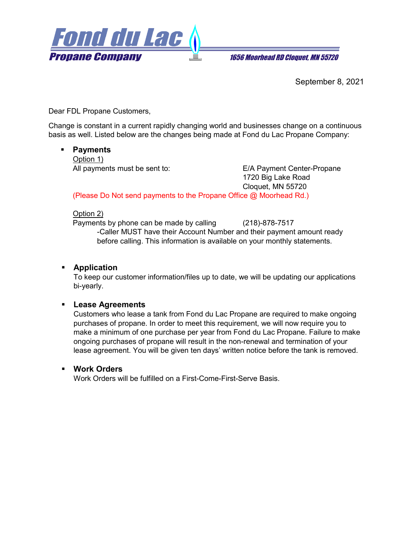

**1656 Moorhead RD Cloquet. MN 55720** 

September 8, 2021

Dear FDL Propane Customers,

Change is constant in a current rapidly changing world and businesses change on a continuous basis as well. Listed below are the changes being made at Fond du Lac Propane Company:

## **Payments**

Option 1) All payments must be sent to: E/A Payment Center-Propane

1720 Big Lake Road Cloquet, MN 55720

(Please Do Not send payments to the Propane Office @ Moorhead Rd.)

### Option 2)

Payments by phone can be made by calling (218)-878-7517

-Caller MUST have their Account Number and their payment amount ready before calling. This information is available on your monthly statements.

# **Application**

To keep our customer information/files up to date, we will be updating our applications bi-yearly.

# **Lease Agreements**

Customers who lease a tank from Fond du Lac Propane are required to make ongoing purchases of propane. In order to meet this requirement, we will now require you to make a minimum of one purchase per year from Fond du Lac Propane. Failure to make ongoing purchases of propane will result in the non-renewal and termination of your lease agreement. You will be given ten days' written notice before the tank is removed.

### **Work Orders**

Work Orders will be fulfilled on a First-Come-First-Serve Basis.